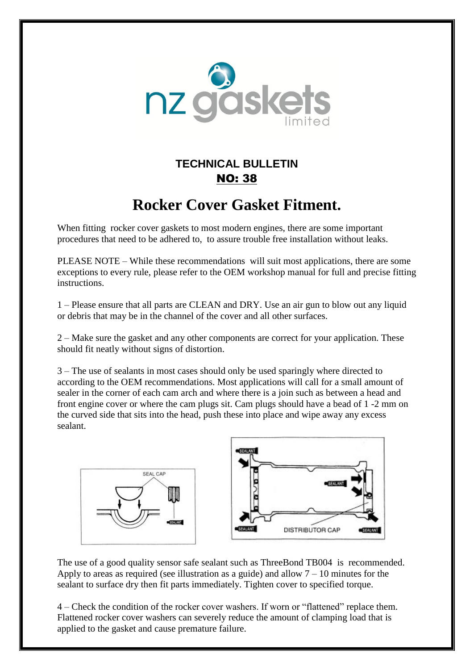

## **TECHNICAL BULLETIN** NO: 38

## **Rocker Cover Gasket Fitment.**

When fitting rocker cover gaskets to most modern engines, there are some important procedures that need to be adhered to, to assure trouble free installation without leaks.

PLEASE NOTE – While these recommendations will suit most applications, there are some exceptions to every rule, please refer to the OEM workshop manual for full and precise fitting instructions.

1 – Please ensure that all parts are CLEAN and DRY. Use an air gun to blow out any liquid or debris that may be in the channel of the cover and all other surfaces.

2 – Make sure the gasket and any other components are correct for your application. These should fit neatly without signs of distortion.

3 – The use of sealants in most cases should only be used sparingly where directed to according to the OEM recommendations. Most applications will call for a small amount of sealer in the corner of each cam arch and where there is a join such as between a head and front engine cover or where the cam plugs sit. Cam plugs should have a bead of 1 -2 mm on the curved side that sits into the head, push these into place and wipe away any excess sealant.



The use of a good quality sensor safe sealant such as ThreeBond TB004 is recommended. Apply to areas as required (see illustration as a guide) and allow  $7 - 10$  minutes for the sealant to surface dry then fit parts immediately. Tighten cover to specified torque.

4 – Check the condition of the rocker cover washers. If worn or "flattened" replace them. Flattened rocker cover washers can severely reduce the amount of clamping load that is applied to the gasket and cause premature failure.